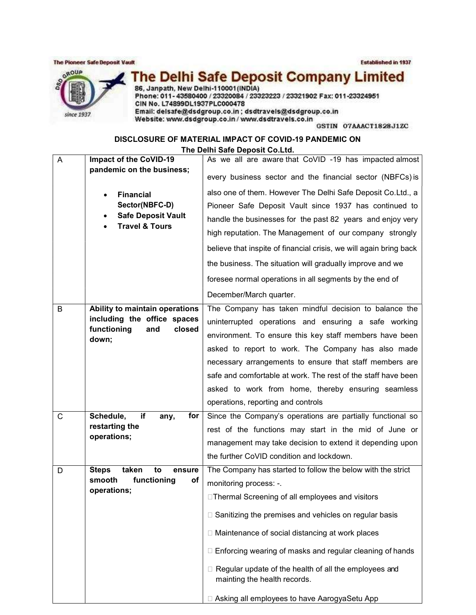The Pioneer Safe Deposit Vault

Established in 1937



The Delhi Safe Deposit Company Limited<br>86, Janpath, New Delhi-110001(INDIA)<br>Phone: 011-43580400 / 23320084 / 233232223 / 23321902 Fax: 011-23324951 CIN No. L74899DL1937PLC000478 Email: delsafe@dsdgroup.co.in; dsdtravels@dsdgroup.co.in Website: www.dsdgroup.co.in / www.dsdtravels.co.in

GSTIN O7AAACT1828J1ZC

DISCLOSURE OF MATERIAL IMPACT OF COVID-19 PANDEMIC ON The Delhi Safe Deposit Co.Ltd.

| A | Impact of the CoVID-19                                        | As we all are aware that CoVID -19 has impacted almost                                  |
|---|---------------------------------------------------------------|-----------------------------------------------------------------------------------------|
|   | pandemic on the business;                                     | every business sector and the financial sector (NBFCs) is                               |
|   |                                                               | also one of them. However The Delhi Safe Deposit Co.Ltd., a                             |
|   | <b>Financial</b><br>Sector(NBFC-D)                            | Pioneer Safe Deposit Vault since 1937 has continued to                                  |
|   | <b>Safe Deposit Vault</b><br><b>Travel &amp; Tours</b>        | handle the businesses for the past 82 years and enjoy very                              |
|   |                                                               | high reputation. The Management of our company strongly                                 |
|   |                                                               | believe that inspite of financial crisis, we will again bring back                      |
|   |                                                               | the business. The situation will gradually improve and we                               |
|   |                                                               | foresee normal operations in all segments by the end of                                 |
|   |                                                               |                                                                                         |
|   |                                                               | December/March quarter.                                                                 |
| B | Ability to maintain operations<br>including the office spaces | The Company has taken mindful decision to balance the                                   |
|   | functioning<br>and<br>closed                                  | uninterrupted operations and ensuring a safe working                                    |
|   | down;                                                         | environment. To ensure this key staff members have been                                 |
|   |                                                               | asked to report to work. The Company has also made                                      |
|   |                                                               | necessary arrangements to ensure that staff members are                                 |
|   |                                                               | safe and comfortable at work. The rest of the staff have been                           |
|   |                                                               | asked to work from home, thereby ensuring seamless                                      |
|   |                                                               | operations, reporting and controls                                                      |
| C | Schedule,<br>if<br>for<br>any,                                | Since the Company's operations are partially functional so                              |
|   | restarting the                                                | rest of the functions may start in the mid of June or                                   |
|   | operations;                                                   | management may take decision to extend it depending upon                                |
|   |                                                               | the further CoVID condition and lockdown.                                               |
| D | <b>Steps</b><br>taken<br>to<br>ensure                         | The Company has started to follow the below with the strict                             |
|   | smooth<br>functioning<br>οf<br>operations;                    | monitoring process: -.                                                                  |
|   |                                                               | □ Thermal Screening of all employees and visitors                                       |
|   |                                                               | □ Sanitizing the premises and vehicles on regular basis                                 |
|   |                                                               | □ Maintenance of social distancing at work places                                       |
|   |                                                               | □ Enforcing wearing of masks and regular cleaning of hands                              |
|   |                                                               | □ Regular update of the health of all the employees and<br>mainting the health records. |
|   |                                                               | □ Asking all employees to have AarogyaSetu App                                          |